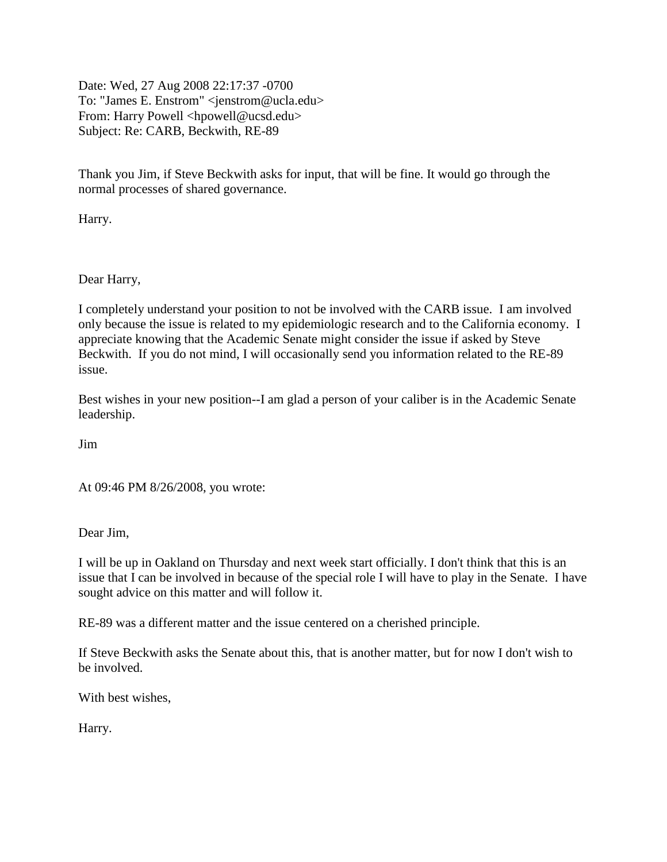Date: Wed, 27 Aug 2008 22:17:37 -0700 To: "James E. Enstrom" <jenstrom@ucla.edu> From: Harry Powell <hpowell@ucsd.edu> Subject: Re: CARB, Beckwith, RE-89

Thank you Jim, if Steve Beckwith asks for input, that will be fine. It would go through the normal processes of shared governance.

Harry.

Dear Harry,

I completely understand your position to not be involved with the CARB issue. I am involved only because the issue is related to my epidemiologic research and to the California economy. I appreciate knowing that the Academic Senate might consider the issue if asked by Steve Beckwith. If you do not mind, I will occasionally send you information related to the RE-89 issue.

Best wishes in your new position--I am glad a person of your caliber is in the Academic Senate leadership.

Jim

At 09:46 PM 8/26/2008, you wrote:

Dear Jim,

I will be up in Oakland on Thursday and next week start officially. I don't think that this is an issue that I can be involved in because of the special role I will have to play in the Senate. I have sought advice on this matter and will follow it.

RE-89 was a different matter and the issue centered on a cherished principle.

If Steve Beckwith asks the Senate about this, that is another matter, but for now I don't wish to be involved.

With best wishes,

Harry.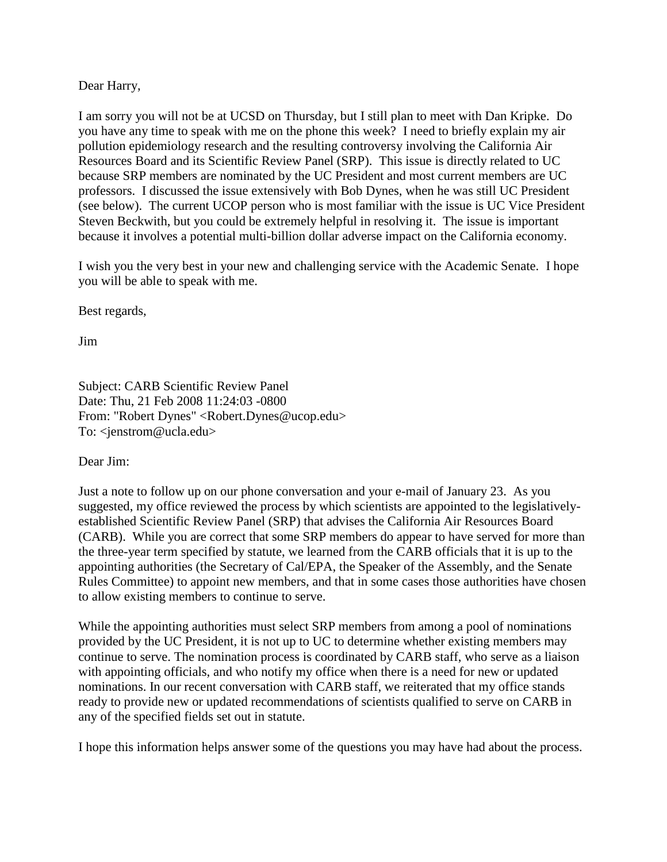Dear Harry,

I am sorry you will not be at UCSD on Thursday, but I still plan to meet with Dan Kripke. Do you have any time to speak with me on the phone this week? I need to briefly explain my air pollution epidemiology research and the resulting controversy involving the California Air Resources Board and its Scientific Review Panel (SRP). This issue is directly related to UC because SRP members are nominated by the UC President and most current members are UC professors. I discussed the issue extensively with Bob Dynes, when he was still UC President (see below). The current UCOP person who is most familiar with the issue is UC Vice President Steven Beckwith, but you could be extremely helpful in resolving it. The issue is important because it involves a potential multi-billion dollar adverse impact on the California economy.

I wish you the very best in your new and challenging service with the Academic Senate. I hope you will be able to speak with me.

Best regards,

Jim

Subject: CARB Scientific Review Panel Date: Thu, 21 Feb 2008 11:24:03 -0800 From: "Robert Dynes" <Robert.Dynes@ucop.edu> To: <jenstrom@ucla.edu>

Dear Jim:

Just a note to follow up on our phone conversation and your e-mail of January 23. As you suggested, my office reviewed the process by which scientists are appointed to the legislativelyestablished Scientific Review Panel (SRP) that advises the California Air Resources Board (CARB). While you are correct that some SRP members do appear to have served for more than the three-year term specified by statute, we learned from the CARB officials that it is up to the appointing authorities (the Secretary of Cal/EPA, the Speaker of the Assembly, and the Senate Rules Committee) to appoint new members, and that in some cases those authorities have chosen to allow existing members to continue to serve.

While the appointing authorities must select SRP members from among a pool of nominations provided by the UC President, it is not up to UC to determine whether existing members may continue to serve. The nomination process is coordinated by CARB staff, who serve as a liaison with appointing officials, and who notify my office when there is a need for new or updated nominations. In our recent conversation with CARB staff, we reiterated that my office stands ready to provide new or updated recommendations of scientists qualified to serve on CARB in any of the specified fields set out in statute.

I hope this information helps answer some of the questions you may have had about the process.